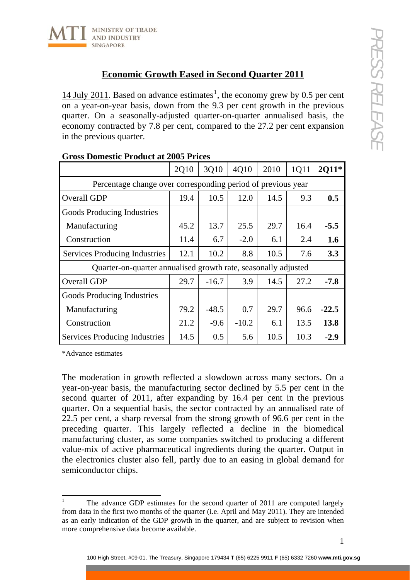

## **Economic Growth Eased in Second Quarter 2011**

[1](#page-0-0)4 July 2011. Based on advance estimates<sup>1</sup>, the economy grew by 0.5 per cent on a year-on-year basis, down from the 9.3 per cent growth in the previous quarter. On a seasonally-adjusted quarter-on-quarter annualised basis, the economy contracted by 7.8 per cent, compared to the 27.2 per cent expansion in the previous quarter.

|                                                                | 2Q10 | 3Q10    | 4Q10    | 2010 | 1Q11 | 2011*   |
|----------------------------------------------------------------|------|---------|---------|------|------|---------|
| Percentage change over corresponding period of previous year   |      |         |         |      |      |         |
| Overall GDP                                                    | 19.4 | 10.5    | 12.0    | 14.5 | 9.3  | 0.5     |
| Goods Producing Industries                                     |      |         |         |      |      |         |
| Manufacturing                                                  | 45.2 | 13.7    | 25.5    | 29.7 | 16.4 | $-5.5$  |
| Construction                                                   | 11.4 | 6.7     | $-2.0$  | 6.1  | 2.4  | 1.6     |
| Services Producing Industries                                  | 12.1 | 10.2    | 8.8     | 10.5 | 7.6  | 3.3     |
| Quarter-on-quarter annualised growth rate, seasonally adjusted |      |         |         |      |      |         |
| Overall GDP                                                    | 29.7 | $-16.7$ | 3.9     | 14.5 | 27.2 | $-7.8$  |
| Goods Producing Industries                                     |      |         |         |      |      |         |
| Manufacturing                                                  | 79.2 | $-48.5$ | 0.7     | 29.7 | 96.6 | $-22.5$ |
| Construction                                                   | 21.2 | $-9.6$  | $-10.2$ | 6.1  | 13.5 | 13.8    |
| <b>Services Producing Industries</b>                           | 14.5 | 0.5     | 5.6     | 10.5 | 10.3 | $-2.9$  |

## **Gross Domestic Product at 2005 Prices**

\*Advance estimates

The moderation in growth reflected a slowdown across many sectors. On a year-on-year basis, the manufacturing sector declined by 5.5 per cent in the second quarter of 2011, after expanding by 16.4 per cent in the previous quarter. On a sequential basis, the sector contracted by an annualised rate of 22.5 per cent, a sharp reversal from the strong growth of 96.6 per cent in the preceding quarter. This largely reflected a decline in the biomedical manufacturing cluster, as some companies switched to producing a different value-mix of active pharmaceutical ingredients during the quarter. Output in the electronics cluster also fell, partly due to an easing in global demand for semiconductor chips.

<span id="page-0-0"></span> $\frac{1}{1}$  The advance GDP estimates for the second quarter of 2011 are computed largely from data in the first two months of the quarter (i.e. April and May 2011). They are intended as an early indication of the GDP growth in the quarter, and are subject to revision when more comprehensive data become available.